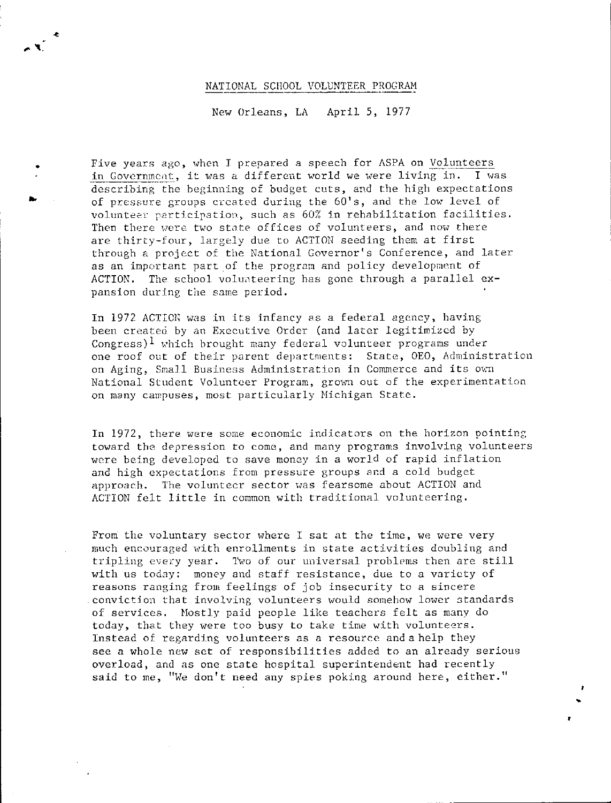## NATIONAL SCHOOL VOLUNTEER PROGRAM

,. '\,

•

..

New Orleans, LA April 5, 1977

Five years ago, when I prepared a speech for ASPA on Volunteers in Government, it was a different world we were living in. I was describing the beginning of budget cuts, and the high expectations of pressure groups created during the 60's, and the low level of volunteer participation, such as 60% in rehabilitation facilities. Then there were two state offices of volunteers, and now there arc thirty-four, largely due to ACTION seeding them at first through a project of the National Governor's Conference, and later as an important part of the program and policy development of ACTION. The school voluateering has gone through a parallel  $ex$ pansion during the same period.

In 1972 ACTION was in its infancy as a federal agency, having been created by an Executive Order (and later legitimized by Congress)<sup>1</sup> which brought many federal volunteer programs under one roof out of their parent departments: State, OEO, Administration on Aging, Small Business Administration in Commerce and its own National Student Volunteer Program, grown out of the experimentation on many campuses, most particularly Michigan State.

In 1972, there were some. economic indicators on the horizon pointing toward the depression to come, and many programs involving volunteers were being developed to save money in a world of rapid inflation and high expectations from pressure groups and a cold budget approach. The volunteer sector was fearsome about ACTION and ACTION felt little in common with traditional volunteering,

From the voluntary sector where I sat at the time, we were very much encouraged with enrollments in state activities doubling and tripling every year. Two of our universal problems then are still with us today: money and staff resistance, due to a variety of reasons ranging from feelings of job insecurity to a sincere .convict:ion that involving volunteers would somehow lower 3tandards of services, Mostly paid people like teachers felt as many do today, that they were too busy to take time with volunteers. Instead of regarding volunteers as a resource and a help they see a whole new set of responsibilities added to an already serious overload, and as one state hospital superintendent had recently said to me, "We don't need any spies poking around here, either."

•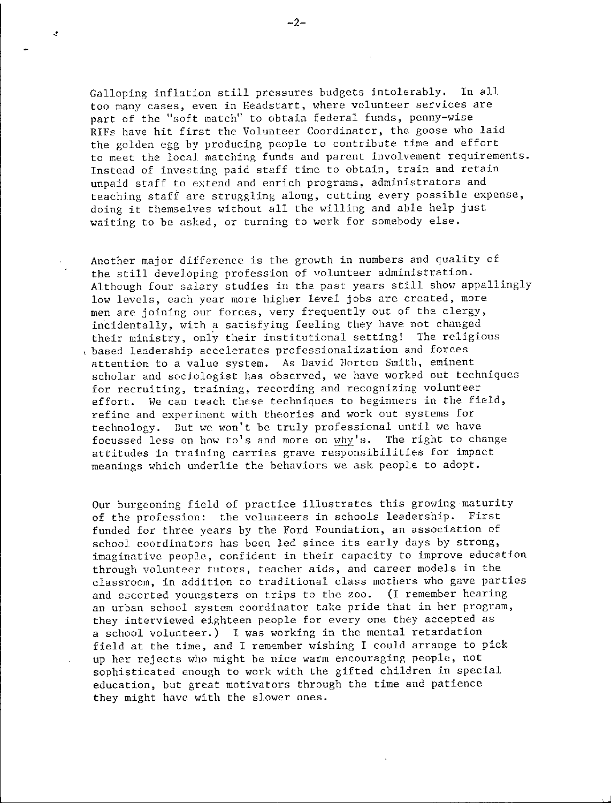Galloping inflation still pressures budgets intolerably, In all **too many cases, even in Headstart, where volunteer services are part of the "soft match" to obtain federal funds, penny-wise**  RIFs have hit first the Volunteer Coordinator, the goose who laid the golden egg by producing people to contribute time and effort to meet the local matching funds and parent involvement requirements. Instead of investing paid staff time to obtain, train and retain **unpaid staff to extend and enrich programs, administrators and teachjng staff are struggling along, cutting every possible expense,**  doing it themselves without all the willing and able help just waiting to be asked, or turning to work for somebody else,

Another major difference is the growth in numbers and quality of the still developing profession of volunteer administration. Although four sa12.ry studies in the past years still show appallingly **low levels, each year more higher level jobs are created, more**  men are joining our forces, very frequently out of the clergy, incidentally, with a satisfying feeling they have not changed **their ministry, onl) 1 their institutional setting! The religious**  , **based le;:idership accelerates professional.ization and forces attention to a value system. As David Horton Smith, eminent**  scholar and sociologist has observed, we have worked out techniques **for recruiting, training, recording and recognizing volunteer**  effort. We can teach these techniques to beginners in the field, **refine and experiment with theories and work out systems for**  technology. But we won't be truly professional until we have focussed less on how to's and more on why's. The right to change **attitudes in training carries grave responsibilities for impact**  meanings which underlie the behaviors we ask people to adopt.

Our burgeoning field of practice illustrates this growing maturity of the profession: the volunteers in schools leadership. First funded for three years by the Ford Foundation, an association of school coordinators has been led since its early days by strong, **imaginative peopJe, confident in their capacity to improve education through volunteer tutors, teacher aids, and career models in the classroom, in addition to traditional class mothers who gave parties**  and escorted youngsters on trips to the zoo, (I remember hearing **an urban school system coordinator take pride that in her program,**  they interviewed eighteen people for every one they accepted as a school volunteer,) I was working in the mental retardation field at the time, and I remember wishing I could arrange to pick up her rejects who might be nice warm encouraging people, not sophisticated enough to work with the gifted children in special education, but great motivators through the time and patience they might have with the slower ones.

 $\mathcal{L}$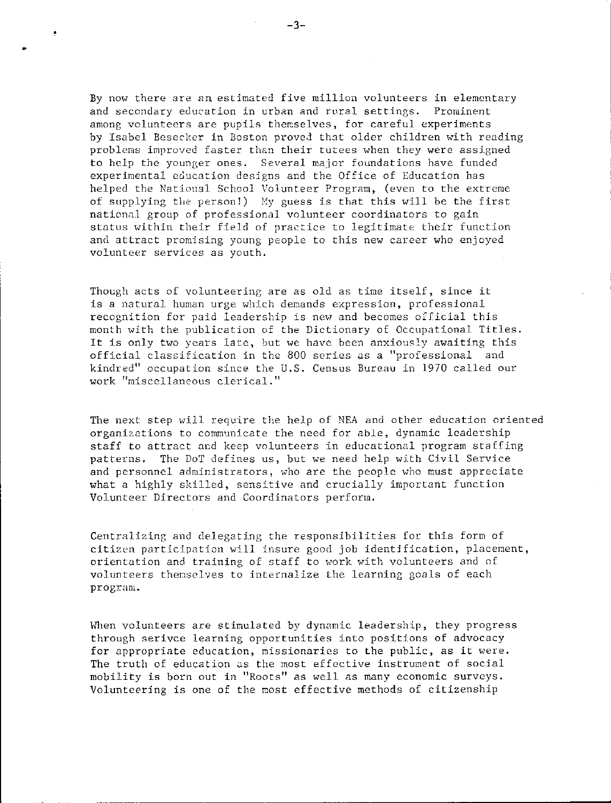By now there are an estimated five million volunteers in elementary and secondary education in urban and rural settings. Prominent among volunteers are pupils themselves, for careful experiments by Isabel Besecker in Boston proved that older children with reading problems improved faster than their tutees when they were assigned to help the younger ones. Several major foundations have funded experimental education designs and the Office of Education has helped the National School Volunteer Program, (even to the extreme of supplying the person!) My guess is that this will be the first national group of professional volunteer coordinators to gain status within their field of practice to legitimate their function and attract promising young people to this new career who enjoyed volunteer services as youth.

Though acts of volunteering are as old as time itself, since it is a natural human urge which demands expression, professional recognition for paid leadership is new and becomes official this month with the publication of the Dictionary of Occupational Titles. It is only two years late, but we have been anxiously awaiting this official classification in the 800 series as a ''professional and kindred" occupation since the U.S. Census Bureau in 1970 called our work "miscellaneous clerical."

The next step will require the help of NEA and other education oriented organizations to communicate the need for able, dynamic leadership staff to attract and keep volunteers in educational program staffing patterns. The DoT defines us, but we need help with Civil Service and personnel administrators, who are the people who must appreciate what a highly skilled, sensitive and crucially important function Volunteer Directors and Coordinators perform.

Centralizing and delegating the responsibilities for this form of citizen participation will insure good job identification, placement, orientation and training of staff to work with volunteers and of volunteers themselves to internalize the learning goals of each program.

When volunteers are stimulated by dynamic leadership, they progress through serivce learning opportunities into positions of advocacy for appropriate education, missionaries to the public, as it were. The truth of education as the most effective instrument of social mobility is born out in "Roots" as well as many economic surveys. Volunteering is one of the most effective methods of citizenship